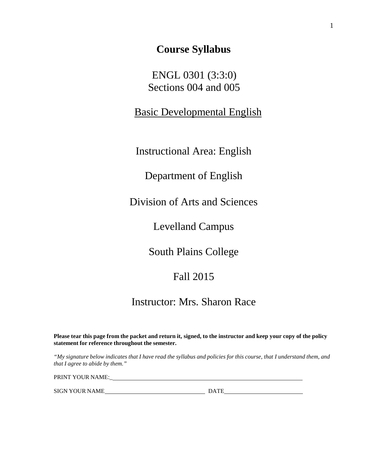# **Course Syllabus**

 ENGL 0301 (3:3:0) Sections 004 and 005

Basic Developmental English

Instructional Area: English

Department of English

Division of Arts and Sciences

Levelland Campus

South Plains College

Fall 2015

Instructor: Mrs. Sharon Race

Please tear this page from the packet and return it, signed, to the instructor and keep your copy of the policy **statement for reference throughout the semester.**

"My signature below indicates that I have read the syllabus and policies for this course, that I understand them, and *that I agree to abide by them."*

PRINT YOUR NAME:\_

SIGN YOUR NAME DATE DATE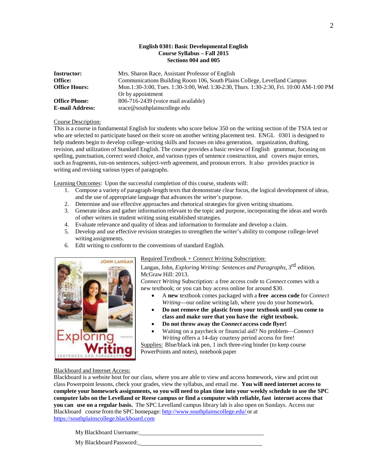## **English 0301: Basic Developmental English Course Syllabus – Fall 2015 Sections 004 and 005**

| Instructor:            | Mrs. Sharon Race, Assistant Professor of English                                        |  |  |
|------------------------|-----------------------------------------------------------------------------------------|--|--|
| Office:                | Communications Building Room 106, South Plains College, Levelland Campus                |  |  |
| <b>Office Hours:</b>   | Mon.1:30-3:00, Tues. 1:30-3:00, Wed. 1:30-2:30, Thurs. 1:30-2:30, Fri. 10:00 AM-1:00 PM |  |  |
|                        | Or by appointment                                                                       |  |  |
| <b>Office Phone:</b>   | 806-716-2439 (voice mail available)                                                     |  |  |
| <b>E-mail Address:</b> | srace@southplainscollege.edu                                                            |  |  |

#### Course Description:

This is a course in fundamental English for students who score below 350 on the writing section of the TSIA test or who are selected to participate based on their score on another writing placement test. ENGL 0301 is designed to help students begin to develop college-writing skills and focuses on idea generation, organization, drafting, revision, and utilization of Standard English. The course provides a basic review of English grammar, focusing on spelling, punctuation, correct word choice, and various types of sentence construction, and covers major errors, such as fragments, run-on sentences, subject-verb agreement, and pronoun errors. It also provides practice in writing and revising various types of paragraphs.

Learning Outcomes: Upon the successful completion of this course, students will:

- 1. Compose a variety of paragraph-length texts that demonstrate clear focus, the logical development of ideas, and the use of appropriate language that advances the writer's purpose.
- 2. Determine and use effective approaches and rhetorical strategies for given writing situations.
- 3. Generate ideas and gather information relevant to the topic and purpose, incorporating the ideas and words of other writers in student writing using established strategies.
- 4. Evaluate relevance and quality of ideas and information to formulate and develop a claim.
- 5. Develop and use effective revision strategies to strengthen the writer's ability to compose college-level writing assignments.
- 6. Edit writing to conform to the conventions of standard English.



#### Required Textbook + *Connect Writing* Subscription:

# Langan, John, *Exploring Writing: Sentences and Paragraphs*, 3rd edition. McGraw Hill: 2013.

*Connect Writing* Subscription: a free access code to *Connect* comes with a new textbook; or you can buy access online for around \$30.

- A **new** textbook comes packaged with a **free access code** for *Connect Writing*—our online writing lab, where you do your homework.
- **Do not remove the plastic from your textbook until you come to class and make sure that you have the right textbook.**
- **Do not throw away the** *Connect* **access code flyer!**
- Waiting on a paycheck or financial aid? No problem—*Connect Writing* offers a 14-day courtesy period access for free!

Supplies: Blue/black ink pen, 1 inch three-ring binder (to keep course PowerPoints and notes), notebook paper

## Blackboard and Internet Access:

Blackboard is a website host for our class, where you are able to view and access homework, view and print out class Powerpoint lessons, check your grades, view the syllabus, and email me. **You will need internet access to complete your homework assignments, so you will need to plan time into your weekly schedule to use the SPC** computer labs on the Levelland or Reese campus or find a computer with reliable, fast internet access that **you can use on a regular basis.** The SPC Levelland campus library lab is also open on Sundays. Access our Blackboard course from the SPC homepage: <http://www.southplainscollege.edu/> or at [https://southplainscollege.blackboard.com](https://southplainscollege.blackboard.com/)

My Blackboard Username:<br>
<u>
</u>

My Blackboard Password:\_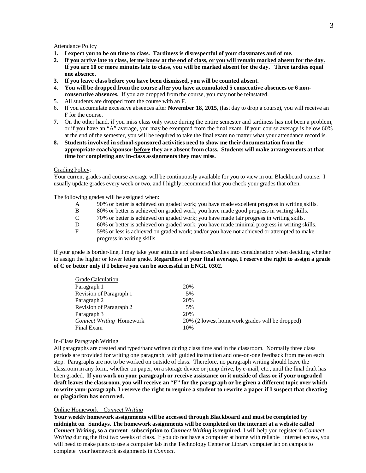#### Attendance Policy

- 1. I expect you to be on time to class. Tardiness is disrespectful of your classmates and of me.
- 2. If you arrive late to class, let me know at the end of class, or you will remain marked absent for the day. If you are 10 or more minutes late to class, you will be marked absent for the day. Three tardies equal **one absence.**
- **3. If you leave class before you have been dismissed, you will be counted absent.**
- 4. **You will be dropped from the course after you have accumulated 5 consecutive absences or 6 nonconsecutive absences.** If you are dropped from the course, you may not be reinstated.
- 5. All students are dropped from the course with an F.
- 6. If you accumulate excessive absences after **November 18, 2015,** (last day to drop a course), you will receive an F for the course.
- **7.** On the other hand, if you miss class only twice during the entire semester and tardiness has not been a problem, or if you have an "A" average, you may be exempted from the final exam. If your course average is below 60% at the end of the semester, you will be required to take the final exam no matter what your attendance record is.
- **8. Students involved in school-sponsored activities need to show me their documentation from the appropriate coach/sponsor before they are absent from class. Students will make arrangements at that time for completing any in-class assignments they may miss.**

#### Grading Policy:

Your current grades and course average will be continuously available for you to view in our Blackboard course. I usually update grades every week or two, and I highly recommend that you check your grades that often.

The following grades will be assigned when:

- A 90% or better is achieved on graded work; you have made excellent progress in writing skills.<br>B 80% or better is achieved on graded work; you have made good progress in writing skills.
- B 80% or better is achieved on graded work; you have made good progress in writing skills.
- C 70% or better is achieved on graded work; you have made fair progress in writing skills.
- D 60% or better is achieved on graded work; you have made minimal progress in writing skills.<br>F 59% or less is achieved on graded work: and/or you have not achieved or attempted to make
- F 59% or less is achieved on graded work; and/or you have not achieved or attempted to make progress in writing skills.

If your grade is border-line, I may take your attitude and absences/tardies into consideration when deciding whether to assign the higher or lower letter grade. **Regardless of your final average, I reserve the right to assign a grade of C or better only if I believe you can be successful in ENGL 0302**.

| <b>Grade Calculation</b> |                                                |
|--------------------------|------------------------------------------------|
| Paragraph 1              | 20%                                            |
| Revision of Paragraph 1  | 5%                                             |
| Paragraph 2              | 20%                                            |
| Revision of Paragraph 2  | 5%                                             |
| Paragraph 3              | 20%                                            |
| Connect Writing Homework | 20% (2 lowest homework grades will be dropped) |
| Final Exam               | 10%                                            |

#### In-Class Paragraph Writing

All paragraphs are created and typed/handwritten during class time and in the classroom. Normally three class periods are provided for writing one paragraph, with guided instruction and one-on-one feedback from me on each step. Paragraphs are not to be worked on outside of class. Therefore, no paragraph writing should leave the classroom in any form, whether on paper, on a storage device or jump drive, by e-mail, etc., until the final draft has been graded. If you work on your paragraph or receive assistance on it outside of class or if your ungraded draft leaves the classroom, you will receive an "F" for the paragraph or be given a different topic over which **to write your paragraph. I reserve the right to require a student to rewrite a paper if I suspect that cheating or plagiarism has occurred.**

#### Online Homework – *Connect Writing*

**Your weekly homework assignments will be accessed through Blackboard and must be completed by midnight on Sundays. The homework assignments will be completed on the internet at a website called** *Connect Writing***, so a current subscription to** *Connect Writing* **is required.** I will help you register in *Connect Writing* during the first two weeks of class. If you do not have a computer at home with reliable internet access, you will need to make plans to use a computer lab in the Technology Center or Library computer lab on campus to complete your homework assignments in *Connect*.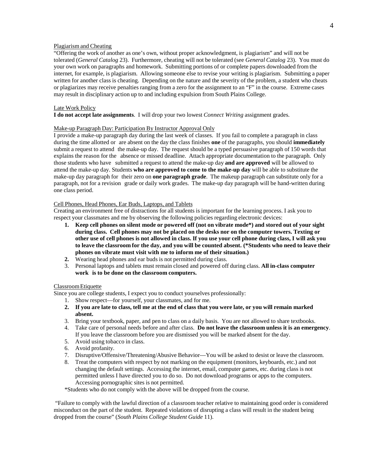## Plagiarism and Cheating

"Offering the work of another as one's own, without proper acknowledgment, is plagiarism" and will not be tolerated (*General Catalog* 23). Furthermore, cheating will not be tolerated (see *General Catalog* 23). You must do your own work on paragraphs and homework. Submitting portions of or complete papers downloaded from the internet, for example, is plagiarism. Allowing someone else to revise your writing is plagiarism. Submitting a paper written for another class is cheating. Depending on the nature and the severity of the problem, a student who cheats or plagiarizes may receive penalties ranging from a zero for the assignment to an "F" in the course. Extreme cases may result in disciplinary action up to and including expulsion from South Plains College.

## Late Work Policy

**I do not accept late assignments**. I will drop your two lowest *Connect Writing* assignment grades.

#### Make-up Paragraph Day: Participation By Instructor Approval Only

I provide a make-up paragraph day during the last week of classes. If you fail to complete a paragraph in class during the time allotted or are absent on the day the class finishes **one** of the paragraphs, you should **immediately** submit a request to attend the make-up day. The request should be a typed persuasive paragraph of 150 words that explains the reason for the absence or missed deadline. Attach appropriate documentation to the paragraph. Only those students who have submitted a request to attend the make-up day **and are approved** will be allowed to attend the make-up day. Students **who are approved to come to the make-up day** will be able to substitute the make-up day paragraph for their zero on **one paragraph grade**. The makeup paragraph can substitute only for a paragraph, not for a revision grade or daily work grades. The make-up day paragraph will be hand-written during one class period.

## Cell Phones, Head Phones, Ear Buds, Laptops, and Tablets

Creating an environment free of distractions for all students is important for the learning process. I ask you to respect your classmates and me by observing the following policies regarding electronic devices:

- 1. Keep cell phones on silent mode or powered off (not on vibrate mode\*) and stored out of your sight **during class. Cell phones may not be placed on the desks nor on the computer towers. Texting or** other use of cell phones is not allowed in class. If you use your cell phone during class, I will ask you to leave the classroom for the day, and you will be counted absent. (\*Students who need to leave their **phones on vibrate must visit with me to inform me of their situation.)**
- **2.** Wearing head phones and ear buds is not permitted during class.
- 3. Personal laptops and tablets must remain closed and powered off during class. **All in-class computer work is to be done on the classroom computers.**

## ClassroomEtiquette

Since you are college students, I expect you to conduct yourselves professionally:

- 1. Show respect—for yourself, your classmates, and for me.
- 2. If you are late to class, tell me at the end of class that you were late, or you will remain marked **absent.**
- 3. Bring your textbook, paper, and pen to class on a daily basis. You are not allowed to share textbooks.
- 4. Take care of personal needs before and after class. **Do not leave the classroom unless it is an emergency**. If you leave the classroom before you are dismissed you will be marked absent for the day.
- 5. Avoid using tobacco in class.
- 6. Avoid profanity.
- 7. Disruptive/Offensive/Threatening/Abusive Behavior—You will be asked to desist or leave the classroom.
- 8. Treat the computers with respect by not marking on the equipment (monitors, keyboards, etc.) and not changing the default settings. Accessing the internet, email, computer games, etc. during class is not permitted unless I have directed you to do so. Do not download programs or apps to the computers. Accessing pornographic sites is not permitted.

\*Students who do not comply with the above will be dropped from the course.

"Failure to comply with the lawful direction of a classroom teacher relative to maintaining good order is considered misconduct on the part of the student. Repeated violations of disrupting a class will result in the student being dropped from the course" (*South Plains College Student Guide* 11).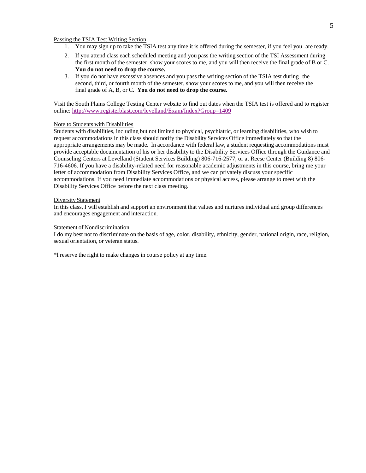#### Passing the TSIA Test Writing Section

- 1. You may sign up to take the TSIA test any time it is offered during the semester, if you feel you are ready.
- 2. If you attend class each scheduled meeting and you pass the writing section of the TSI Assessment during the first month of the semester, show your scores to me, and you will then receive the final grade of B or C. **You do not need to drop the course.**
- 3. If you do not have excessive absences and you pass the writing section of the TSIA test during the second, third, or fourth month of the semester, show your scores to me, and you will then receive the final grade of A, B, or C. **You do not need to drop the course.**

Visit the South Plains College Testing Center website to find out dates when the TSIA test is offered and to register online:<http://www.registerblast.com/levelland/Exam/Index?Group=1409>

#### Note to Students with Disabilities

Students with disabilities, including but not limited to physical, psychiatric, or learning disabilities, who wish to request accommodations in this class should notify the Disability Services Office immediately so that the appropriate arrangements may be made. In accordance with federal law, a student requesting accommodations must provide acceptable documentation of his or her disability to the Disability Services Office through the Guidance and Counseling Centers at Levelland (Student Services Building) 806-716-2577, or at Reese Center (Building 8) 806- 716-4606. If you have a disability-related need for reasonable academic adjustments in this course, bring me your letter of accommodation from Disability Services Office, and we can privately discuss your specific accommodations. If you need immediate accommodations or physical access, please arrange to meet with the Disability Services Office before the next class meeting.

#### Diversity Statement

In this class, I will establish and support an environment that values and nurtures individual and group differences and encourages engagement and interaction.

#### Statement of Nondiscrimination

I do my best not to discriminate on the basis of age, color, disability, ethnicity, gender, national origin, race, religion, sexual orientation, or veteran status.

\*I reserve the right to make changes in course policy at any time.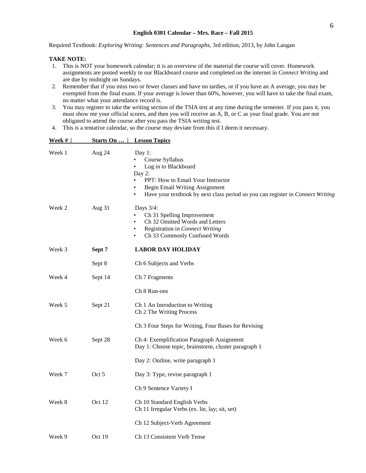Required Textbook: *Exploring Writing: Sentences and Paragraphs*, 3rd edition, 2013, by John Langan

## **TAKE NOTE:**

- 1. This is NOT your homework calendar; it is an overview of the material the course will cover. Homework assignments are posted weekly in our Blackboard course and completed on the internet in *Connect Writing* and are due by midnight on Sundays.
- 2. Remember that if you miss two or fewer classes and have no tardies, or if you have an A average, you may be exempted from the final exam. If your average is lower than 60%, however, you will have to take the final exam, no matter what your attendance record is.
- 3. You may register to take the writing section of the TSIA test at any time during the semester. If you pass it, you must show me your official scores, and then you will receive an A, B, or C as your final grade. You are not obligated to attend the course after you pass the TSIA writing test.
- 4. This is a tentative calendar, so the course may deviate from this if I deem it necessary.

| Week # | Starts On | <b>Lesson Topics</b>                                                                                                                                                                                                                           |
|--------|-----------|------------------------------------------------------------------------------------------------------------------------------------------------------------------------------------------------------------------------------------------------|
| Week 1 | Aug 24    | Day 1:<br>Course Syllabus<br>$\bullet$<br>Log in to Blackboard<br>Day 2:<br>PPT: How to Email Your Instructor<br>Begin Email Writing Assignment<br>Have your textbook by next class period so you can register in Connect Writing<br>$\bullet$ |
| Week 2 | Aug $31$  | Days 3/4:<br>Ch 31 Spelling Improvement<br>Ch 32 Omitted Words and Letters<br>Registration in Connect Writing<br>Ch 33 Commonly Confused Words<br>$\bullet$                                                                                    |
| Week 3 | Sept 7    | <b>LABOR DAY HOLIDAY</b>                                                                                                                                                                                                                       |
|        | Sept 8    | Ch 6 Subjects and Verbs                                                                                                                                                                                                                        |
| Week 4 | Sept 14   | Ch 7 Fragments                                                                                                                                                                                                                                 |
|        |           | Ch 8 Run-ons                                                                                                                                                                                                                                   |
| Week 5 | Sept 21   | Ch 1 An Introduction to Writing<br>Ch 2 The Writing Process                                                                                                                                                                                    |
|        |           | Ch 3 Four Steps for Writing, Four Bases for Revising                                                                                                                                                                                           |
| Week 6 | Sept 28   | Ch 4: Exemplification Paragraph Assignment<br>Day 1: Choose topic, brainstorm, cluster paragraph 1                                                                                                                                             |
|        |           | Day 2: Outline, write paragraph 1                                                                                                                                                                                                              |
| Week 7 | Oct 5     | Day 3: Type, revise paragraph 1                                                                                                                                                                                                                |
|        |           | Ch 9 Sentence Variety I                                                                                                                                                                                                                        |
| Week 8 | Oct 12    | Ch 10 Standard English Verbs<br>Ch 11 Irregular Verbs (ex. lie, lay; sit, set)                                                                                                                                                                 |
|        |           | Ch 12 Subject-Verb Agreement                                                                                                                                                                                                                   |
| Week 9 | Oct 19    | Ch 13 Consistent Verb Tense                                                                                                                                                                                                                    |